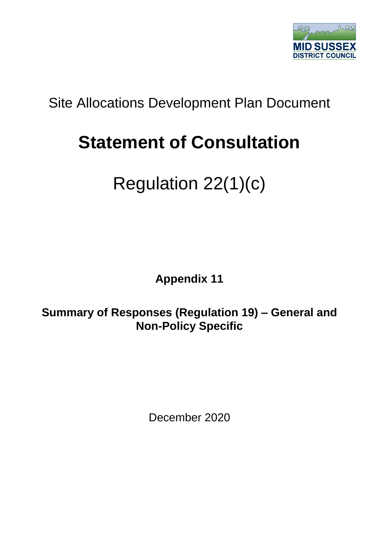

## Site Allocations Development Plan Document

## **Statement of Consultation**

## Regulation 22(1)(c)

**Appendix 11**

**Summary of Responses (Regulation 19) – General and Non-Policy Specific**

December 2020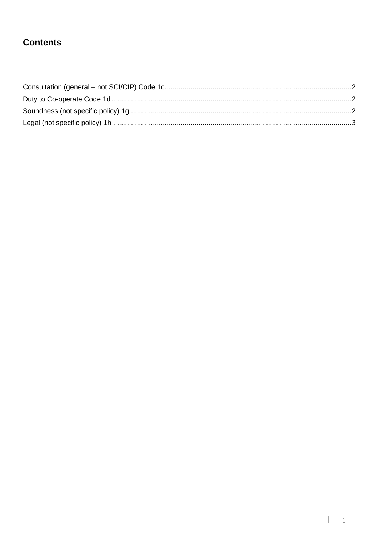## **Contents**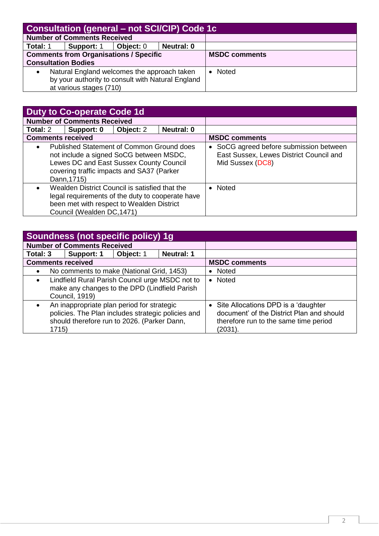<span id="page-2-0"></span>

| <b>Consultation (general - not SCI/CIP) Code 1c</b> |            |           |                   |                      |  |  |
|-----------------------------------------------------|------------|-----------|-------------------|----------------------|--|--|
| <b>Number of Comments Received</b>                  |            |           |                   |                      |  |  |
| Total: 1                                            | Support: 1 | Object: 0 | <b>Neutral: 0</b> |                      |  |  |
| <b>Comments from Organisations / Specific</b>       |            |           |                   | <b>MSDC comments</b> |  |  |
| <b>Consultation Bodies</b>                          |            |           |                   |                      |  |  |
| Natural England welcomes the approach taken         |            |           |                   | • Noted              |  |  |
| by your authority to consult with Natural England   |            |           |                   |                      |  |  |
| at various stages (710)                             |            |           |                   |                      |  |  |

<span id="page-2-1"></span>

| <b>Duty to Co-operate Code 1d</b>                                                                                                                                                                        |            |           |                   |                                                                                                      |
|----------------------------------------------------------------------------------------------------------------------------------------------------------------------------------------------------------|------------|-----------|-------------------|------------------------------------------------------------------------------------------------------|
| <b>Number of Comments Received</b>                                                                                                                                                                       |            |           |                   |                                                                                                      |
| Total: 2                                                                                                                                                                                                 | Support: 0 | Object: 2 | <b>Neutral: 0</b> |                                                                                                      |
| <b>Comments received</b>                                                                                                                                                                                 |            |           |                   | <b>MSDC comments</b>                                                                                 |
| Published Statement of Common Ground does<br>$\bullet$<br>not include a signed SoCG between MSDC,<br>Lewes DC and East Sussex County Council<br>covering traffic impacts and SA37 (Parker<br>Dann, 1715) |            |           |                   | SoCG agreed before submission between<br>East Sussex, Lewes District Council and<br>Mid Sussex (DC8) |
| Wealden District Council is satisfied that the<br>$\bullet$<br>legal requirements of the duty to cooperate have<br>been met with respect to Wealden District<br>Council (Wealden DC, 1471)               |            |           | • Noted           |                                                                                                      |

<span id="page-2-2"></span>

| Soundness (not specific policy) 1g                                                                                                                                    |            |           |                                                                                                                                         |                      |  |
|-----------------------------------------------------------------------------------------------------------------------------------------------------------------------|------------|-----------|-----------------------------------------------------------------------------------------------------------------------------------------|----------------------|--|
| <b>Number of Comments Received</b>                                                                                                                                    |            |           |                                                                                                                                         |                      |  |
| Total: 3                                                                                                                                                              | Support: 1 | Object: 1 | <b>Neutral: 1</b>                                                                                                                       |                      |  |
| <b>Comments received</b>                                                                                                                                              |            |           |                                                                                                                                         | <b>MSDC comments</b> |  |
| No comments to make (National Grid, 1453)<br>$\bullet$                                                                                                                |            |           | • Noted                                                                                                                                 |                      |  |
| Lindfield Rural Parish Council urge MSDC not to<br>$\bullet$<br>make any changes to the DPD (Lindfield Parish<br><b>Council, 1919)</b>                                |            |           |                                                                                                                                         | • Noted              |  |
| An inappropriate plan period for strategic<br>$\bullet$<br>policies. The Plan includes strategic policies and<br>should therefore run to 2026. (Parker Dann,<br>1715) |            |           | • Site Allocations DPD is a 'daughter'<br>document' of the District Plan and should<br>therefore run to the same time period<br>(2031). |                      |  |